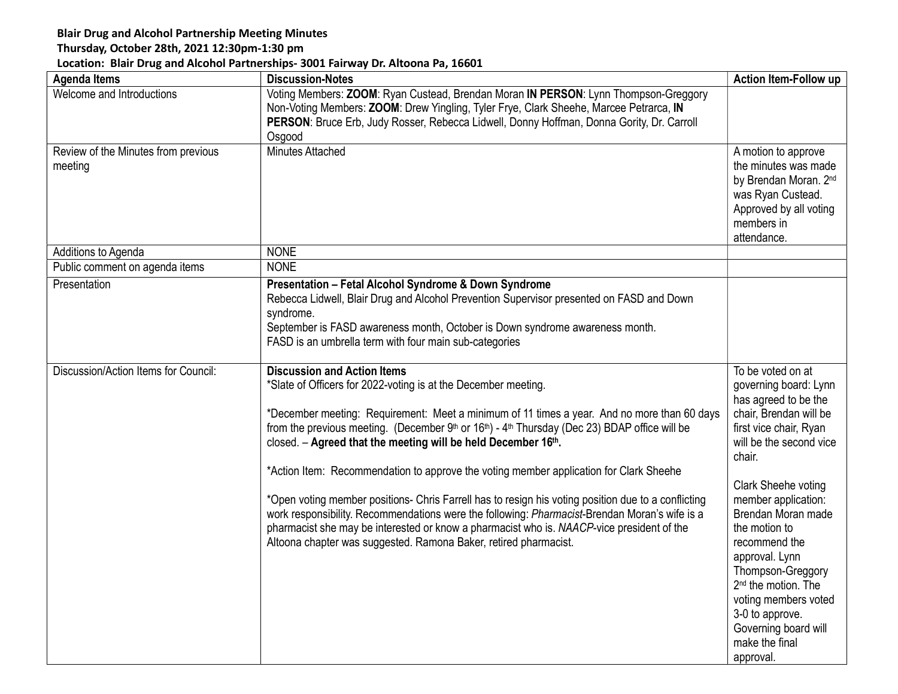## Blair Drug and Alcohol Partnership Meeting Minutes

## Thursday, October 28th, 2021 12:30pm-1:30 pm

## Location: Blair Drug and Alcohol Partnerships- 3001 Fairway Dr. Altoona Pa, 16601

| <b>Agenda Items</b>                            | <b>Discussion-Notes</b>                                                                                                                                                                      | <b>Action Item-Follow up</b>                     |
|------------------------------------------------|----------------------------------------------------------------------------------------------------------------------------------------------------------------------------------------------|--------------------------------------------------|
| Welcome and Introductions                      | Voting Members: ZOOM: Ryan Custead, Brendan Moran IN PERSON: Lynn Thompson-Greggory                                                                                                          |                                                  |
|                                                | Non-Voting Members: ZOOM: Drew Yingling, Tyler Frye, Clark Sheehe, Marcee Petrarca, IN                                                                                                       |                                                  |
|                                                | PERSON: Bruce Erb, Judy Rosser, Rebecca Lidwell, Donny Hoffman, Donna Gority, Dr. Carroll                                                                                                    |                                                  |
|                                                | Osgood<br><b>Minutes Attached</b>                                                                                                                                                            |                                                  |
| Review of the Minutes from previous<br>meeting |                                                                                                                                                                                              | A motion to approve<br>the minutes was made      |
|                                                |                                                                                                                                                                                              | by Brendan Moran. 2nd                            |
|                                                |                                                                                                                                                                                              | was Ryan Custead.                                |
|                                                |                                                                                                                                                                                              | Approved by all voting                           |
|                                                |                                                                                                                                                                                              | members in                                       |
| Additions to Agenda                            | <b>NONE</b>                                                                                                                                                                                  | attendance.                                      |
| Public comment on agenda items                 | <b>NONE</b>                                                                                                                                                                                  |                                                  |
|                                                |                                                                                                                                                                                              |                                                  |
| Presentation                                   | Presentation - Fetal Alcohol Syndrome & Down Syndrome<br>Rebecca Lidwell, Blair Drug and Alcohol Prevention Supervisor presented on FASD and Down                                            |                                                  |
|                                                | syndrome.                                                                                                                                                                                    |                                                  |
|                                                | September is FASD awareness month, October is Down syndrome awareness month.                                                                                                                 |                                                  |
|                                                | FASD is an umbrella term with four main sub-categories                                                                                                                                       |                                                  |
|                                                |                                                                                                                                                                                              |                                                  |
| Discussion/Action Items for Council:           | <b>Discussion and Action Items</b>                                                                                                                                                           | To be voted on at                                |
|                                                | *Slate of Officers for 2022-voting is at the December meeting.                                                                                                                               | governing board: Lynn                            |
|                                                |                                                                                                                                                                                              | has agreed to be the                             |
|                                                | *December meeting: Requirement: Meet a minimum of 11 times a year. And no more than 60 days<br>from the previous meeting. (December 9th or 16th) - 4th Thursday (Dec 23) BDAP office will be | chair, Brendan will be<br>first vice chair, Ryan |
|                                                | closed. - Agreed that the meeting will be held December 16th.                                                                                                                                | will be the second vice                          |
|                                                |                                                                                                                                                                                              | chair.                                           |
|                                                | *Action Item: Recommendation to approve the voting member application for Clark Sheehe                                                                                                       |                                                  |
|                                                |                                                                                                                                                                                              | Clark Sheehe voting                              |
|                                                | *Open voting member positions- Chris Farrell has to resign his voting position due to a conflicting                                                                                          | member application:                              |
|                                                | work responsibility. Recommendations were the following: Pharmacist-Brendan Moran's wife is a                                                                                                | Brendan Moran made<br>the motion to              |
|                                                | pharmacist she may be interested or know a pharmacist who is. NAACP-vice president of the<br>Altoona chapter was suggested. Ramona Baker, retired pharmacist.                                | recommend the                                    |
|                                                |                                                                                                                                                                                              | approval. Lynn                                   |
|                                                |                                                                                                                                                                                              | Thompson-Greggory                                |
|                                                |                                                                                                                                                                                              | 2 <sup>nd</sup> the motion. The                  |
|                                                |                                                                                                                                                                                              | voting members voted                             |
|                                                |                                                                                                                                                                                              | 3-0 to approve.                                  |
|                                                |                                                                                                                                                                                              | Governing board will                             |
|                                                |                                                                                                                                                                                              | make the final                                   |
|                                                |                                                                                                                                                                                              | approval.                                        |